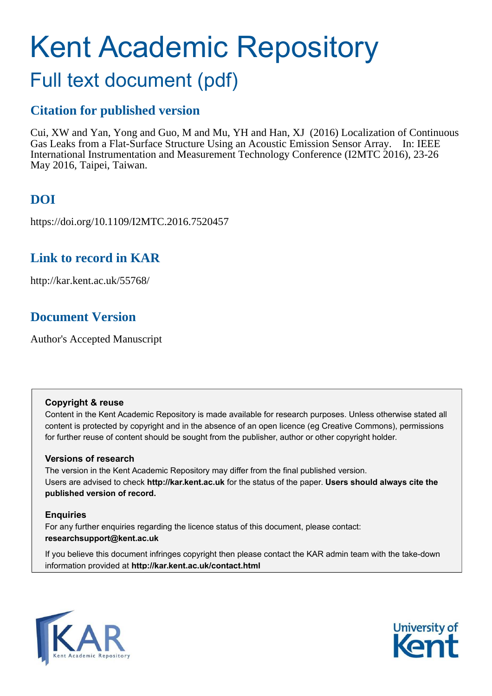# Kent Academic Repository

## Full text document (pdf)

## **Citation for published version**

Cui, XW and Yan, Yong and Guo, M and Mu, YH and Han, XJ (2016) Localization of Continuous Gas Leaks from a Flat-Surface Structure Using an Acoustic Emission Sensor Array. In: IEEE International Instrumentation and Measurement Technology Conference (I2MTC 2016), 23-26 May 2016, Taipei, Taiwan.

## **DOI**

https://doi.org/10.1109/I2MTC.2016.7520457

## **Link to record in KAR**

http://kar.kent.ac.uk/55768/

## **Document Version**

Author's Accepted Manuscript

#### **Copyright & reuse**

Content in the Kent Academic Repository is made available for research purposes. Unless otherwise stated all content is protected by copyright and in the absence of an open licence (eg Creative Commons), permissions for further reuse of content should be sought from the publisher, author or other copyright holder.

#### **Versions of research**

The version in the Kent Academic Repository may differ from the final published version. Users are advised to check **http://kar.kent.ac.uk** for the status of the paper. **Users should always cite the published version of record.**

#### **Enquiries**

For any further enquiries regarding the licence status of this document, please contact: **researchsupport@kent.ac.uk**

If you believe this document infringes copyright then please contact the KAR admin team with the take-down information provided at **http://kar.kent.ac.uk/contact.html**



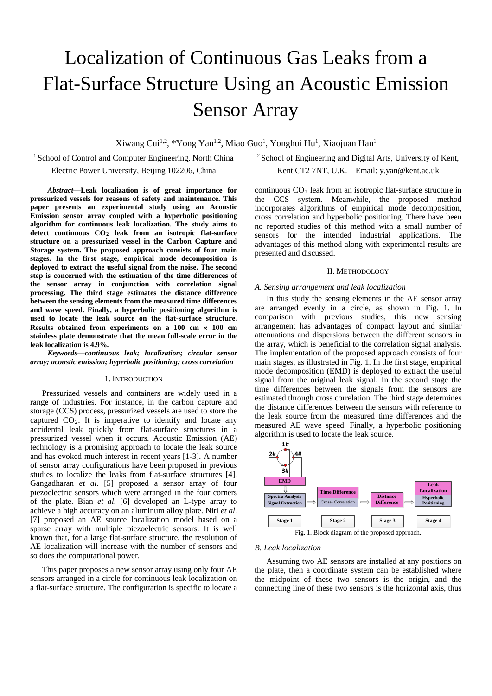# Localization of Continuous Gas Leaks from a Flat-Surface Structure Using an Acoustic Emission Sensor Array

Xiwang Cui<sup>1,2</sup>, \*Yong Yan<sup>1,2</sup>, Miao Guo<sup>1</sup>, Yonghui Hu<sup>1</sup>, Xiaojuan Han<sup>1</sup>

<sup>1</sup> School of Control and Computer Engineering, North China

Electric Power University, Beijing 102206, China

<sup>2</sup> School of Engineering and Digital Arts, University of Kent,

Kent CT2 7NT, U.K. Email: y.yan@kent.ac.uk

*Abstract***—Leak localization is of great importance for pressurized vessels for reasons of safety and maintenance. This paper presents an experimental study using an Acoustic Emission sensor array coupled with a hyperbolic positioning algorithm for continuous leak localization. The study aims to detect continuous CO<sup>2</sup> leak from an isotropic flat-surface structure on a pressurized vessel in the Carbon Capture and Storage system. The proposed approach consists of four main stages. In the first stage, empirical mode decomposition is deployed to extract the useful signal from the noise. The second step is concerned with the estimation of the time differences of the sensor array in conjunction with correlation signal processing. The third stage estimates the distance difference between the sensing elements from the measured time differences and wave speed. Finally, a hyperbolic positioning algorithm is used to locate the leak source on the flat-surface structure. Results obtained from experiments on a 100 cm** × **100 cm stainless plate demonstrate that the mean full-scale error in the leak localization is 4.9%.** 

*Keywords—continuous leak; localization; circular sensor array; acoustic emission; hyperbolic positioning; cross correlation*

#### 1. INTRODUCTION

Pressurized vessels and containers are widely used in a range of industries. For instance, in the carbon capture and storage (CCS) process, pressurized vessels are used to store the captured  $CO<sub>2</sub>$ . It is imperative to identify and locate any accidental leak quickly from flat-surface structures in a pressurized vessel when it occurs. Acoustic Emission (AE) technology is a promising approach to locate the leak source and has evoked much interest in recent years [1-3]. A number of sensor array configurations have been proposed in previous studies to localize the leaks from flat-surface structures [4]. Gangadharan *et al*. [5] proposed a sensor array of four piezoelectric sensors which were arranged in the four corners of the plate. Bian *et al*. [6] developed an L-type array to achieve a high accuracy on an aluminum alloy plate. Niri *et al*. [7] proposed an AE source localization model based on a sparse array with multiple piezoelectric sensors. It is well known that, for a large flat-surface structure, the resolution of AE localization will increase with the number of sensors and so does the computational power.

This paper proposes a new sensor array using only four AE sensors arranged in a circle for continuous leak localization on a flat-surface structure. The configuration is specific to locate a continuous  $CO<sub>2</sub>$  leak from an isotropic flat-surface structure in the CCS system. Meanwhile, the proposed method incorporates algorithms of empirical mode decomposition, cross correlation and hyperbolic positioning. There have been no reported studies of this method with a small number of sensors for the intended industrial applications. The advantages of this method along with experimental results are presented and discussed.

#### II. METHODOLOGY

#### *A. Sensing arrangement and leak localization*

In this study the sensing elements in the AE sensor array are arranged evenly in a circle, as shown in Fig. 1. In comparison with previous studies, this new sensing arrangement has advantages of compact layout and similar attenuations and dispersions between the different sensors in the array, which is beneficial to the correlation signal analysis. The implementation of the proposed approach consists of four main stages, as illustrated in Fig. 1. In the first stage, empirical mode decomposition (EMD) is deployed to extract the useful signal from the original leak signal. In the second stage the time differences between the signals from the sensors are estimated through cross correlation. The third stage determines the distance differences between the sensors with reference to the leak source from the measured time differences and the measured AE wave speed. Finally, a hyperbolic positioning algorithm is used to locate the leak source.



#### *B. Leak localization*

Assuming two AE sensors are installed at any positions on the plate, then a coordinate system can be established where the midpoint of these two sensors is the origin, and the connecting line of these two sensors is the horizontal axis, thus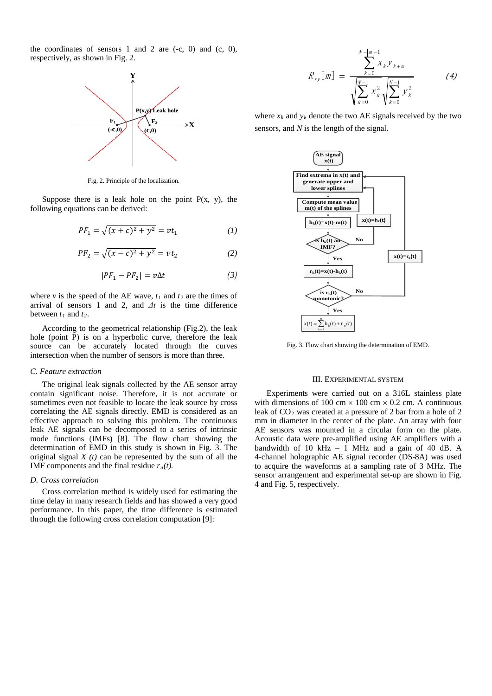the coordinates of sensors 1 and 2 are  $(-c, 0)$  and  $(c, 0)$ , respectively, as shown in Fig. 2.



Fig. 2. Principle of the localization.

Suppose there is a leak hole on the point  $P(x, y)$ , the following equations can be derived:

$$
PF_1 = \sqrt{(x+c)^2 + y^2} = vt_1 \tag{1}
$$

$$
PF_2 = \sqrt{(x-c)^2 + y^2} = vt_2 \tag{2}
$$

$$
|PF_1 - PF_2| = v\Delta t \tag{3}
$$

where *v* is the speed of the AE wave,  $t_1$  and  $t_2$  are the times of arrival of sensors 1 and 2, and  $\Delta t$  is the time difference between *t<sup>1</sup>* and *t2*.

According to the geometrical relationship (Fig.2), the leak hole (point P) is on a hyperbolic curve, therefore the leak source can be accurately located through the curves intersection when the number of sensors is more than three.

#### *C. Feature extraction*

The original leak signals collected by the AE sensor array contain significant noise. Therefore, it is not accurate or sometimes even not feasible to locate the leak source by cross correlating the AE signals directly. EMD is considered as an effective approach to solving this problem. The continuous leak AE signals can be decomposed to a series of intrinsic mode functions (IMFs) [8]. The flow chart showing the determination of EMD in this study is shown in Fig. 3. The original signal  $X(t)$  can be represented by the sum of all the IMF components and the final residue  $r_n(t)$ .

#### *D. Cross correlation*

Cross correlation method is widely used for estimating the time delay in many research fields and has showed a very good performance. In this paper, the time difference is estimated through the following cross correlation computation [9]:

$$
R_{xy}[\mathbf{m}] = \frac{\sum_{k=0}^{N-|\mathbf{m}|-1} x_k y_{k+m}}{\sqrt{\sum_{k=0}^{N-1} x_k^2} \sqrt{\sum_{k=0}^{N-1} y_k^2}}
$$
(4)

where  $x_k$  and  $y_k$  denote the two AE signals received by the two sensors, and *N* is the length of the signal.



Fig. 3. Flow chart showing the determination of EMD.

#### III. EXPERIMENTAL SYSTEM

Experiments were carried out on a 316L stainless plate with dimensions of 100 cm  $\times$  100 cm  $\times$  0.2 cm. A continuous leak of  $CO<sub>2</sub>$  was created at a pressure of 2 bar from a hole of 2 mm in diameter in the center of the plate. An array with four AE sensors was mounted in a circular form on the plate. Acoustic data were pre-amplified using AE amplifiers with a bandwidth of 10  $\text{kHz}$  – 1 MHz and a gain of 40 dB. A 4-channel holographic AE signal recorder (DS-8A) was used to acquire the waveforms at a sampling rate of 3 MHz. The sensor arrangement and experimental set-up are shown in Fig. 4 and Fig. 5, respectively.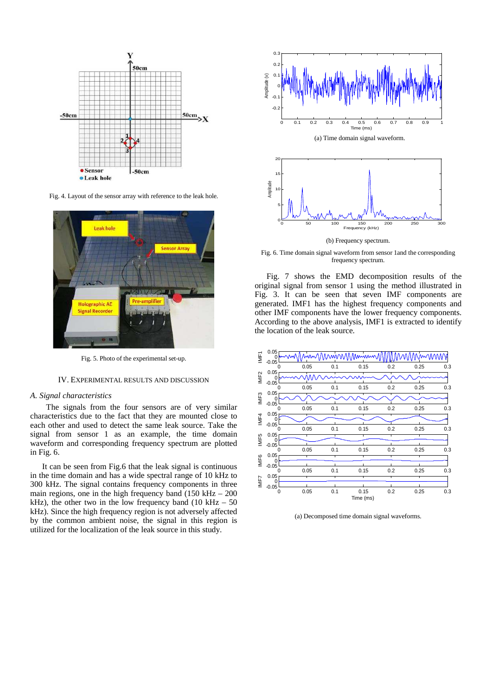

Fig. 4. Layout of the sensor array with reference to the leak hole.



Fig. 5. Photo of the experimental set-up.

#### IV. EXPERIMENTAL RESULTS AND DISCUSSION

#### *A. Signal characteristics*

The signals from the four sensors are of very similar characteristics due to the fact that they are mounted close to each other and used to detect the same leak source. Take the signal from sensor 1 as an example, the time domain waveform and corresponding frequency spectrum are plotted in Fig. 6.

It can be seen from Fig.6 that the leak signal is continuous in the time domain and has a wide spectral range of 10 kHz to 300 kHz. The signal contains frequency components in three main regions, one in the high frequency band  $(150 \text{ kHz} - 200$ kHz), the other two in the low frequency band (10 kHz  $-50$ ) kHz). Since the high frequency region is not adversely affected by the common ambient noise, the signal in this region is utilized for the localization of the leak source in this study.



Fig. 6. Time domain signal waveform from sensor 1and the corresponding frequency spectrum.

Fig. 7 shows the EMD decomposition results of the original signal from sensor 1 using the method illustrated in Fig. 3. It can be seen that seven IMF components are generated. IMF1 has the highest frequency components and other IMF components have the lower frequency components. According to the above analysis, IMF1 is extracted to identify the location of the leak source.



(a) Decomposed time domain signal waveforms.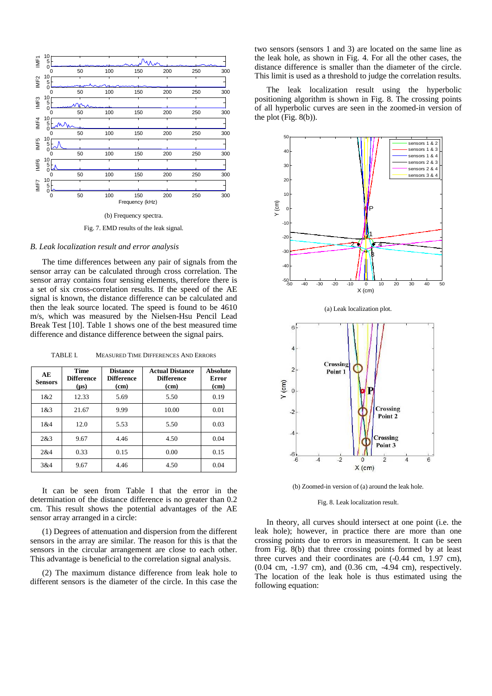

#### *B. Leak localization result and error analysis*

The time differences between any pair of signals from the sensor array can be calculated through cross correlation. The sensor array contains four sensing elements, therefore there is a set of six cross-correlation results. If the speed of the AE signal is known, the distance difference can be calculated and then the leak source located. The speed is found to be 4610 m/s, which was measured by the Nielsen-Hsu Pencil Lead Break Test [10]. Table 1 shows one of the best measured time difference and distance difference between the signal pairs.

TABLE I. MEASURED TIME DIFFERENCES AND ERRORS

| AЕ<br><b>Sensors</b> | <b>Time</b><br><b>Difference</b><br>$(\mu s)$ | <b>Distance</b><br><b>Difference</b><br>(c <sub>m</sub> ) | <b>Actual Distance</b><br><b>Difference</b><br>(cm) | <b>Absolute</b><br>Error<br>(cm) |
|----------------------|-----------------------------------------------|-----------------------------------------------------------|-----------------------------------------------------|----------------------------------|
| 1 & 2                | 12.33                                         | 5.69                                                      | 5.50                                                | 0.19                             |
| 1 & 3                | 21.67                                         | 9.99                                                      | 10.00                                               | 0.01                             |
| 1 & 4                | 12.0                                          | 5.53                                                      | 5.50                                                | 0.03                             |
| 2&3                  | 9.67                                          | 4.46                                                      | 4.50                                                | 0.04                             |
| 2&4                  | 0.33                                          | 0.15                                                      | 0.00                                                | 0.15                             |
| 3&4                  | 9.67                                          | 4.46                                                      | 4.50                                                | 0.04                             |

It can be seen from Table I that the error in the determination of the distance difference is no greater than 0.2 cm. This result shows the potential advantages of the AE sensor array arranged in a circle:

(1) Degrees of attenuation and dispersion from the different sensors in the array are similar. The reason for this is that the sensors in the circular arrangement are close to each other. This advantage is beneficial to the correlation signal analysis.

(2) The maximum distance difference from leak hole to different sensors is the diameter of the circle. In this case the two sensors (sensors 1 and 3) are located on the same line as the leak hole, as shown in Fig. 4. For all the other cases, the distance difference is smaller than the diameter of the circle. This limit is used as a threshold to judge the correlation results.

The leak localization result using the hyperbolic positioning algorithm is shown in Fig. 8. The crossing points of all hyperbolic curves are seen in the zoomed-in version of the plot (Fig. 8(b)).



(b) Zoomed-in version of (a) around the leak hole.

#### Fig. 8. Leak localization result.

In theory, all curves should intersect at one point (i.e. the leak hole); however, in practice there are more than one crossing points due to errors in measurement. It can be seen from Fig. 8(b) that three crossing points formed by at least three curves and their coordinates are (-0.44 cm, 1.97 cm), (0.04 cm, -1.97 cm), and (0.36 cm, -4.94 cm), respectively. The location of the leak hole is thus estimated using the following equation: